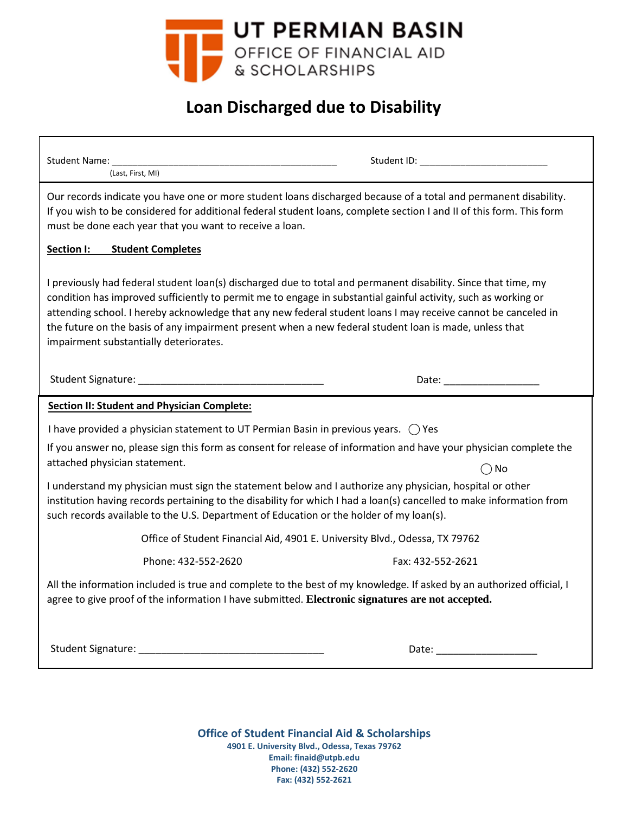

# **Loan Discharged due to Disability**

| Student Name:<br>(Last, First, MI)                                                                                                                                                                                                                                                                                                                                                                                                                                                                    |                   |
|-------------------------------------------------------------------------------------------------------------------------------------------------------------------------------------------------------------------------------------------------------------------------------------------------------------------------------------------------------------------------------------------------------------------------------------------------------------------------------------------------------|-------------------|
| Our records indicate you have one or more student loans discharged because of a total and permanent disability.<br>If you wish to be considered for additional federal student loans, complete section I and II of this form. This form<br>must be done each year that you want to receive a loan.                                                                                                                                                                                                    |                   |
| Section I:<br><b>Student Completes</b>                                                                                                                                                                                                                                                                                                                                                                                                                                                                |                   |
| I previously had federal student loan(s) discharged due to total and permanent disability. Since that time, my<br>condition has improved sufficiently to permit me to engage in substantial gainful activity, such as working or<br>attending school. I hereby acknowledge that any new federal student loans I may receive cannot be canceled in<br>the future on the basis of any impairment present when a new federal student loan is made, unless that<br>impairment substantially deteriorates. |                   |
|                                                                                                                                                                                                                                                                                                                                                                                                                                                                                                       |                   |
| <b>Section II: Student and Physician Complete:</b>                                                                                                                                                                                                                                                                                                                                                                                                                                                    |                   |
| I have provided a physician statement to UT Permian Basin in previous years. $\bigcirc$ Yes                                                                                                                                                                                                                                                                                                                                                                                                           |                   |
| If you answer no, please sign this form as consent for release of information and have your physician complete the<br>attached physician statement.                                                                                                                                                                                                                                                                                                                                                   | $\bigcirc$ No     |
| I understand my physician must sign the statement below and I authorize any physician, hospital or other<br>institution having records pertaining to the disability for which I had a loan(s) cancelled to make information from<br>such records available to the U.S. Department of Education or the holder of my loan(s).                                                                                                                                                                           |                   |
| Office of Student Financial Aid, 4901 E. University Blvd., Odessa, TX 79762                                                                                                                                                                                                                                                                                                                                                                                                                           |                   |
| Phone: 432-552-2620                                                                                                                                                                                                                                                                                                                                                                                                                                                                                   | Fax: 432-552-2621 |
| All the information included is true and complete to the best of my knowledge. If asked by an authorized official, I<br>agree to give proof of the information I have submitted. Electronic signatures are not accepted.                                                                                                                                                                                                                                                                              |                   |
|                                                                                                                                                                                                                                                                                                                                                                                                                                                                                                       |                   |
|                                                                                                                                                                                                                                                                                                                                                                                                                                                                                                       |                   |

**Office of Student Financial Aid & Scholarships 4901 E. University Blvd., Odessa, Texas 79762 Email: finaid@utpb.edu Phone: (432) 552-2620 Fax: (432) 552-2621**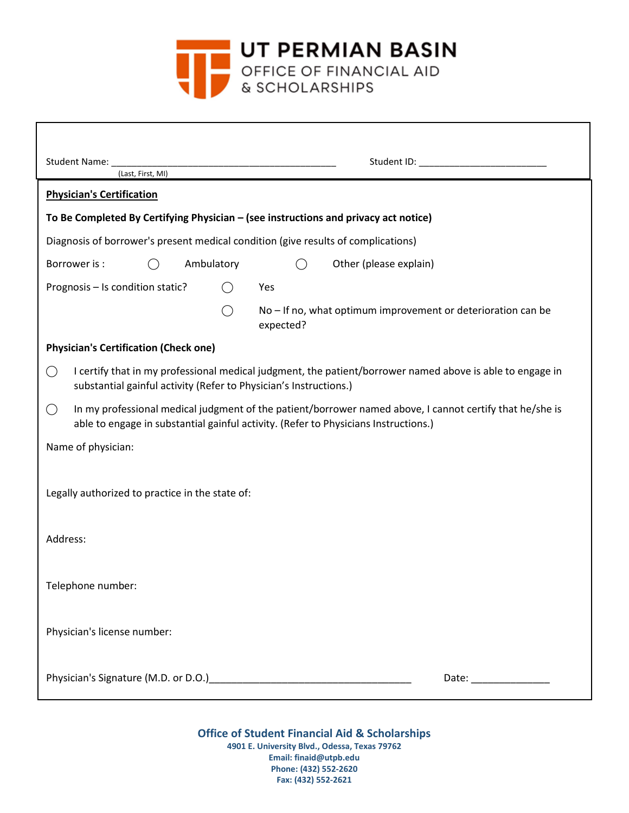

| Student Name:<br>Student ID: The Student ID:<br>(Last, First, MI)                                                                                                                                                  |  |
|--------------------------------------------------------------------------------------------------------------------------------------------------------------------------------------------------------------------|--|
| <b>Physician's Certification</b>                                                                                                                                                                                   |  |
| To Be Completed By Certifying Physician - (see instructions and privacy act notice)                                                                                                                                |  |
| Diagnosis of borrower's present medical condition (give results of complications)                                                                                                                                  |  |
| Ambulatory<br>Other (please explain)<br>Borrower is:<br>$($ )<br>$($ )                                                                                                                                             |  |
| Prognosis - Is condition static?<br>Yes<br>$($ )                                                                                                                                                                   |  |
| No – If no, what optimum improvement or deterioration can be<br>expected?                                                                                                                                          |  |
| <b>Physician's Certification (Check one)</b>                                                                                                                                                                       |  |
| I certify that in my professional medical judgment, the patient/borrower named above is able to engage in<br>$\bigcirc$<br>substantial gainful activity (Refer to Physician's Instructions.)                       |  |
| In my professional medical judgment of the patient/borrower named above, I cannot certify that he/she is<br>$\left(\right)$<br>able to engage in substantial gainful activity. (Refer to Physicians Instructions.) |  |
| Name of physician:                                                                                                                                                                                                 |  |
|                                                                                                                                                                                                                    |  |
| Legally authorized to practice in the state of:                                                                                                                                                                    |  |
|                                                                                                                                                                                                                    |  |
| Address:                                                                                                                                                                                                           |  |
|                                                                                                                                                                                                                    |  |
| Telephone number:                                                                                                                                                                                                  |  |
| Physician's license number:                                                                                                                                                                                        |  |
|                                                                                                                                                                                                                    |  |
| Date: _______________                                                                                                                                                                                              |  |

**Office of Student Financial Aid & Scholarships 4901 E. University Blvd., Odessa, Texas 79762 Email: finaid@utpb.edu Phone: (432) 552-2620 Fax: (432) 552-2621**